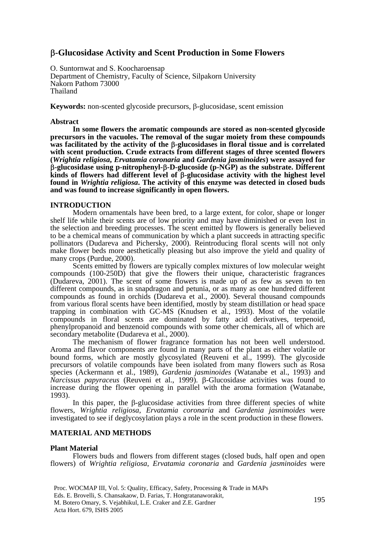## β**-Glucosidase Activity and Scent Production in Some Flowers**

O. Suntornwat and S. Koocharoensap Department of Chemistry, Faculty of Science, Silpakorn University Nakorn Pathom 73000 Thailand

**Keywords:** non-scented glycoside precursors, β-glucosidase, scent emission

#### **Abstract**

**In some flowers the aromatic compounds are stored as non-scented glycoside precursors in the vacuoles. The removal of the sugar moiety from these compounds was facilitated by the activity of the** β**-glucosidases in floral tissue and is correlated with scent production. Crude extracts from different stages of three scented flowers (***Wrightia religiosa***,** *Ervatamia coronaria* **and** *Gardenia jasminoides***) were assayed for**  β**-glucosidase using p-nitrophenyl-**β**-D-glucoside (p-NGP) as the substrate. Different kinds of flowers had different level of** β**-glucosidase activity with the highest level found in** *Wrightia religiosa***. The activity of this enzyme was detected in closed buds and was found to increase significantly in open flowers.** 

## **INTRODUCTION**

Modern ornamentals have been bred, to a large extent, for color, shape or longer shelf life while their scents are of low priority and may have diminished or even lost in the selection and breeding processes. The scent emitted by flowers is generally believed to be a chemical means of communication by which a plant succeeds in attracting specific pollinators (Dudareva and Pichersky, 2000). Reintroducing floral scents will not only make flower beds more aesthetically pleasing but also improve the yield and quality of many crops (Purdue, 2000).

Scents emitted by flowers are typically complex mixtures of low molecular weight compounds (100-250D) that give the flowers their unique, characteristic fragrances (Dudareva, 2001). The scent of some flowers is made up of as few as seven to ten different compounds, as in snapdragon and petunia, or as many as one hundred different compounds as found in orchids (Dudareva et al., 2000). Several thousand compounds from various floral scents have been identified, mostly by steam distillation or head space trapping in combination with GC-MS (Knudsen et al., 1993). Most of the volatile compounds in floral scents are dominated by fatty acid derivatives, terpenoid, phenylpropanoid and benzenoid compounds with some other chemicals, all of which are secondary metabolite (Dudareva et al., 2000).

The mechanism of flower fragrance formation has not been well understood. Aroma and flavor components are found in many parts of the plant as either volatile or bound forms, which are mostly glycosylated (Reuveni et al., 1999). The glycoside precursors of volatile compounds have been isolated from many flowers such as Rosa species (Ackermann et al., 1989), *Gardenia jasminoides* (Watanabe et al., 1993) and *Narcissus papyraceus* (Reuveni et al., 1999). β-Glucosidase activities was found to increase during the flower opening in parallel with the aroma formation (Watanabe, 1993).

In this paper, the β-glucosidase activities from three different species of white flowers, *Wrightia religiosa*, *Ervatamia coronaria* and *Gardenia jasnimoides* were investigated to see if deglycosylation plays a role in the scent production in these flowers.

#### **MATERIAL AND METHODS**

#### **Plant Material**

Flowers buds and flowers from different stages (closed buds, half open and open flowers) of *Wrightia religiosa*, *Ervatamia coronaria* and *Gardenia jasminoides* were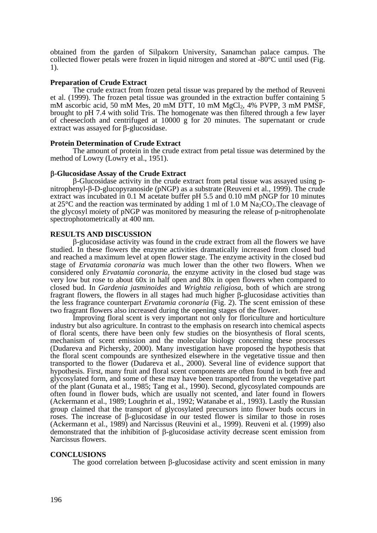obtained from the garden of Silpakorn University, Sanamchan palace campus. The collected flower petals were frozen in liquid nitrogen and stored at -80°C until used (Fig. 1).

## **Preparation of Crude Extract**

The crude extract from frozen petal tissue was prepared by the method of Reuveni et al. (1999). The frozen petal tissue was grounded in the extraction buffer containing 5 mM ascorbic acid, 50 mM Mes, 20 mM DTT, 10 mM MgCl<sub>2</sub>, 4% PVPP, 3 mM PMSF, brought to pH 7.4 with solid Tris. The homogenate was then filtered through a few layer of cheesecloth and centrifuged at 10000 g for 20 minutes. The supernatant or crude extract was assayed for β-glucosidase.

## **Protein Determination of Crude Extract**

The amount of protein in the crude extract from petal tissue was determined by the method of Lowry (Lowry et al., 1951).

## β**-Glucosidase Assay of the Crude Extract**

β-Glucosidase activity in the crude extract from petal tissue was assayed using pnitrophenyl-β-D-glucopyranoside (pNGP) as a substrate (Reuveni et al., 1999). The crude extract was incubated in 0.1 M acetate buffer pH 5.5 and 0.10 mM pNGP for 10 minutes at 25 $\degree$ C and the reaction was terminated by adding 1 ml of 1.0 M Na<sub>2</sub>CO<sub>3</sub>. The cleavage of the glycosyl moiety of pNGP was monitored by measuring the release of p-nitrophenolate spectrophotometrically at 400 nm.

#### **RESULTS AND DISCUSSION**

β-glucosidase activity was found in the crude extract from all the flowers we have studied. In these flowers the enzyme activities dramatically increased from closed bud and reached a maximum level at open flower stage. The enzyme activity in the closed bud stage of *Ervatamia coronaria* was much lower than the other two flowers. When we considered only *Ervatamia coronaria*, the enzyme activity in the closed bud stage was very low but rose to about 60x in half open and 80x in open flowers when compared to closed bud. In *Gardenia jasminoides* and *Wrightia religiosa*, both of which are strong fragrant flowers, the flowers in all stages had much higher β-glucosidase activities than the less fragrance counterpart *Ervatamia coronaria* (Fig. 2). The scent emission of these two fragrant flowers also increased during the opening stages of the flower.

Improving floral scent is very important not only for floriculture and horticulture industry but also agriculture. In contrast to the emphasis on research into chemical aspects of floral scents, there have been only few studies on the biosynthesis of floral scents, mechanism of scent emission and the molecular biology concerning these processes (Dudareva and Pichersky, 2000). Many investigation have proposed the hypothesis that the floral scent compounds are synthesized elsewhere in the vegetative tissue and then transported to the flower (Dudareva et al., 2000). Several line of evidence support that hypothesis. First, many fruit and floral scent components are often found in both free and glycosylated form, and some of these may have been transported from the vegetative part of the plant (Gunata et al., 1985; Tang et al., 1990). Second, glycosylated compounds are often found in flower buds, which are usually not scented, and later found in flowers (Ackermann et al., 1989; Loughrin et al., 1992; Watanabe et al., 1993). Lastly the Russian group claimed that the transport of glycosylated precursors into flower buds occurs in roses. The increase of β-glucosidase in our tested flower is similar to those in roses (Ackermann et al., 1989) and Narcissus (Reuvini et al., 1999). Reuveni et al. (1999) also demonstrated that the inhibition of β-glucosidase activity decrease scent emission from Narcissus flowers.

## **CONCLUSIONS**

The good correlation between β-glucosidase activity and scent emission in many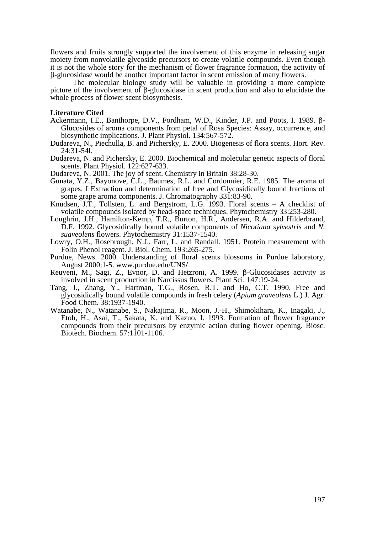flowers and fruits strongly supported the involvement of this enzyme in releasing sugar moiety from nonvolatile glycoside precursors to create volatile compounds. Even though it is not the whole story for the mechanism of flower fragrance formation, the activity of β-glucosidase would be another important factor in scent emission of many flowers.

The molecular biology study will be valuable in providing a more complete picture of the involvement of β-glucosidase in scent production and also to elucidate the whole process of flower scent biosynthesis.

#### **Literature Cited**

- Ackermann, I.E., Banthorpe, D.V., Fordham, W.D., Kinder, J.P. and Poots, I. 1989. β-Glucosides of aroma components from petal of Rosa Species: Assay, occurrence, and biosynthetic implications. J. Plant Physiol. 134:567-572.
- Dudareva, N., Piechulla, B. and Pichersky, E. 2000. Biogenesis of flora scents. Hort. Rev. 24:31-54l.
- Dudareva, N. and Pichersky, E. 2000. Biochemical and molecular genetic aspects of floral scents. Plant Physiol. 122:627-633.
- Dudareva, N. 2001. The joy of scent. Chemistry in Britain 38:28-30.
- Gunata, Y.Z., Bayonove, C.L., Baumes, R.L. and Cordonnier, R.E. 1985. The aroma of grapes. I Extraction and determination of free and Glycosidically bound fractions of some grape aroma components. J. Chromatography 331:83-90.
- Knudsen, J.T., Tollsten, L. and Bergstrom, L.G. 1993. Floral scents A checklist of volatile compounds isolated by head-space techniques. Phytochemistry 33:253-280.
- Loughrin, J.H., Hamilton-Kemp, T.R., Burton, H.R., Andersen, R.A. and Hilderbrand, D.F. 1992. Glycosidically bound volatile components of *Nicotiana sylvestris* and *N. suaveolens* flowers. Phytochemistry 31:1537-1540.
- Lowry, O.H., Rosebrough, N.J., Farr, L. and Randall. 1951. Protein measurement with Folin Phenol reagent. J. Biol. Chem. 193:265-275.
- Purdue, News. 2000. Understanding of floral scents blossoms in Purdue laboratory, August 2000:1-5. www.purdue.edu/UNS**/**
- Reuveni, M., Sagi, Z., Evnor, D. and Hetzroni, A. 1999. β-Glucosidases activity is involved in scent production in Narcissus flowers. Plant Sci. 147:19-24.
- Tang, J., Zhang, Y., Hartman, T.G., Rosen, R.T. and Ho, C.T. 1990. Free and glycosidically bound volatile compounds in fresh celery (*Apium graveolens* L.) J. Agr. Food Chem. 38:1937-1940.
- Watanabe, N., Watanabe, S., Nakajima, R., Moon, J.-H., Shimokihara, K., Inagaki, J., Etoh, H., Asai, T., Sakata, K. and Kazuo, I. 1993. Formation of flower fragrance compounds from their precursors by enzymic action during flower opening. Biosc. Biotech. Biochem. 57:1101-1106.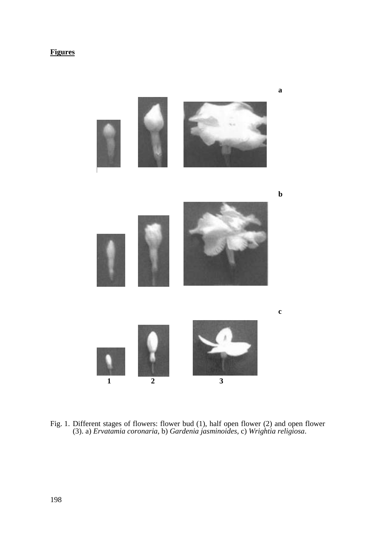# **Figures**



Fig. 1. Different stages of flowers: flower bud (1), half open flower (2) and open flower (3). a) *Ervatamia coronaria*, b) *Gardenia jasminoides*, c) *Wrightia religiosa*.